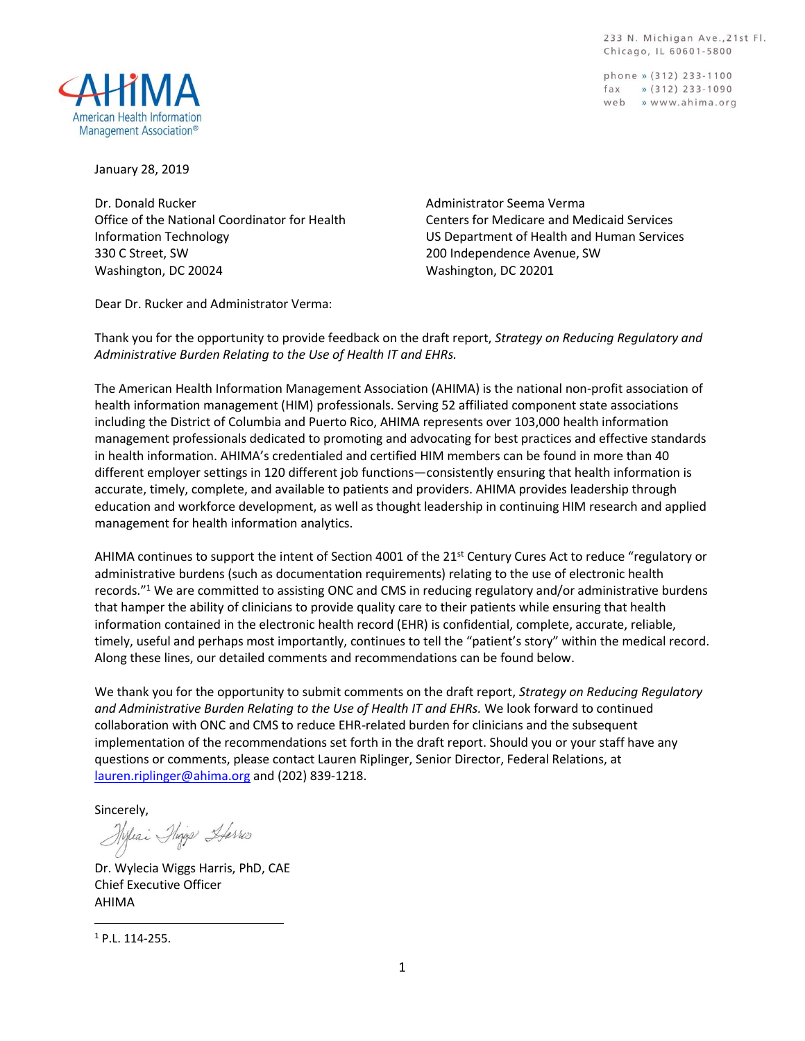233 N. Michigan Ave., 21st Fl. Chicago, IL 60601-5800

phone » (312) 233-1100 fax  $\frac{1}{2}$  (312) 233-1090 web » www.ahima.org



January 28, 2019

Dr. Donald Rucker Office of the National Coordinator for Health Information Technology 330 C Street, SW Washington, DC 20024

Administrator Seema Verma Centers for Medicare and Medicaid Services US Department of Health and Human Services 200 Independence Avenue, SW Washington, DC 20201

Dear Dr. Rucker and Administrator Verma:

Thank you for the opportunity to provide feedback on the draft report, *Strategy on Reducing Regulatory and Administrative Burden Relating to the Use of Health IT and EHRs.*

The American Health Information Management Association (AHIMA) is the national non-profit association of health information management (HIM) professionals. Serving 52 affiliated component state associations including the District of Columbia and Puerto Rico, AHIMA represents over 103,000 health information management professionals dedicated to promoting and advocating for best practices and effective standards in health information. AHIMA's credentialed and certified HIM members can be found in more than 40 different employer settings in 120 different job functions—consistently ensuring that health information is accurate, timely, complete, and available to patients and providers. AHIMA provides leadership through education and workforce development, as well as thought leadership in continuing HIM research and applied management for health information analytics.

AHIMA continues to support the intent of Section 4001 of the 21<sup>st</sup> Century Cures Act to reduce "regulatory or administrative burdens (such as documentation requirements) relating to the use of electronic health records."<sup>1</sup> We are committed to assisting ONC and CMS in reducing regulatory and/or administrative burdens that hamper the ability of clinicians to provide quality care to their patients while ensuring that health information contained in the electronic health record (EHR) is confidential, complete, accurate, reliable, timely, useful and perhaps most importantly, continues to tell the "patient's story" within the medical record. Along these lines, our detailed comments and recommendations can be found below.

We thank you for the opportunity to submit comments on the draft report, *Strategy on Reducing Regulatory and Administrative Burden Relating to the Use of Health IT and EHRs.* We look forward to continued collaboration with ONC and CMS to reduce EHR-related burden for clinicians and the subsequent implementation of the recommendations set forth in the draft report. Should you or your staff have any questions or comments, please contact Lauren Riplinger, Senior Director, Federal Relations, at [lauren.riplinger@ahima.org](mailto:lauren.riplinger@ahima.org) and (202) 839-1218.

Sincerely,

Hyleai Phage Harris

Dr. Wylecia Wiggs Harris, PhD, CAE Chief Executive Officer AHIMA

<sup>1</sup> P.L. 114-255.

 $\overline{\phantom{a}}$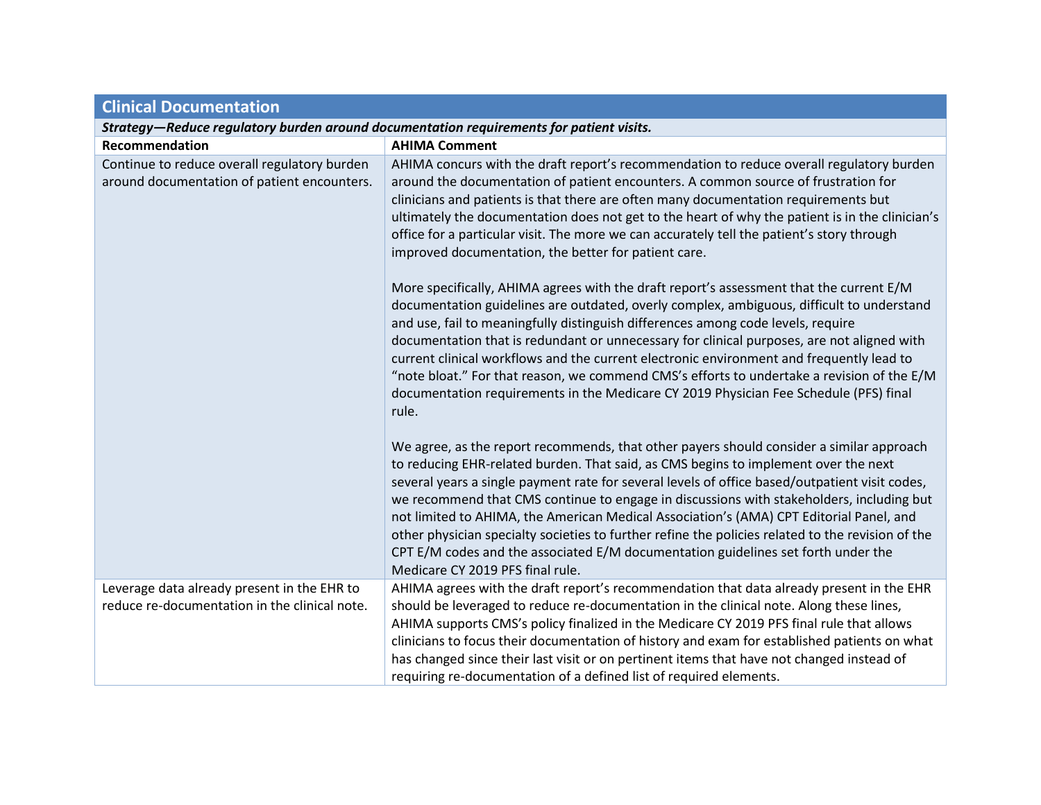| <b>Clinical Documentation</b>                                                                |                                                                                                                                                                                                                                                                                                                                                                                                                                                                                                                                                                                                                                                                                                                                                                                                                                                                                                                                                                                                                                                                                                                                                                                                      |  |
|----------------------------------------------------------------------------------------------|------------------------------------------------------------------------------------------------------------------------------------------------------------------------------------------------------------------------------------------------------------------------------------------------------------------------------------------------------------------------------------------------------------------------------------------------------------------------------------------------------------------------------------------------------------------------------------------------------------------------------------------------------------------------------------------------------------------------------------------------------------------------------------------------------------------------------------------------------------------------------------------------------------------------------------------------------------------------------------------------------------------------------------------------------------------------------------------------------------------------------------------------------------------------------------------------------|--|
| Strategy-Reduce regulatory burden around documentation requirements for patient visits.      |                                                                                                                                                                                                                                                                                                                                                                                                                                                                                                                                                                                                                                                                                                                                                                                                                                                                                                                                                                                                                                                                                                                                                                                                      |  |
| Recommendation                                                                               | <b>AHIMA Comment</b>                                                                                                                                                                                                                                                                                                                                                                                                                                                                                                                                                                                                                                                                                                                                                                                                                                                                                                                                                                                                                                                                                                                                                                                 |  |
| Continue to reduce overall regulatory burden<br>around documentation of patient encounters.  | AHIMA concurs with the draft report's recommendation to reduce overall regulatory burden<br>around the documentation of patient encounters. A common source of frustration for<br>clinicians and patients is that there are often many documentation requirements but<br>ultimately the documentation does not get to the heart of why the patient is in the clinician's<br>office for a particular visit. The more we can accurately tell the patient's story through<br>improved documentation, the better for patient care.<br>More specifically, AHIMA agrees with the draft report's assessment that the current E/M<br>documentation guidelines are outdated, overly complex, ambiguous, difficult to understand<br>and use, fail to meaningfully distinguish differences among code levels, require<br>documentation that is redundant or unnecessary for clinical purposes, are not aligned with<br>current clinical workflows and the current electronic environment and frequently lead to<br>"note bloat." For that reason, we commend CMS's efforts to undertake a revision of the E/M<br>documentation requirements in the Medicare CY 2019 Physician Fee Schedule (PFS) final<br>rule. |  |
|                                                                                              | We agree, as the report recommends, that other payers should consider a similar approach<br>to reducing EHR-related burden. That said, as CMS begins to implement over the next<br>several years a single payment rate for several levels of office based/outpatient visit codes,<br>we recommend that CMS continue to engage in discussions with stakeholders, including but<br>not limited to AHIMA, the American Medical Association's (AMA) CPT Editorial Panel, and<br>other physician specialty societies to further refine the policies related to the revision of the<br>CPT E/M codes and the associated E/M documentation guidelines set forth under the<br>Medicare CY 2019 PFS final rule.                                                                                                                                                                                                                                                                                                                                                                                                                                                                                               |  |
| Leverage data already present in the EHR to<br>reduce re-documentation in the clinical note. | AHIMA agrees with the draft report's recommendation that data already present in the EHR<br>should be leveraged to reduce re-documentation in the clinical note. Along these lines,<br>AHIMA supports CMS's policy finalized in the Medicare CY 2019 PFS final rule that allows<br>clinicians to focus their documentation of history and exam for established patients on what<br>has changed since their last visit or on pertinent items that have not changed instead of<br>requiring re-documentation of a defined list of required elements.                                                                                                                                                                                                                                                                                                                                                                                                                                                                                                                                                                                                                                                   |  |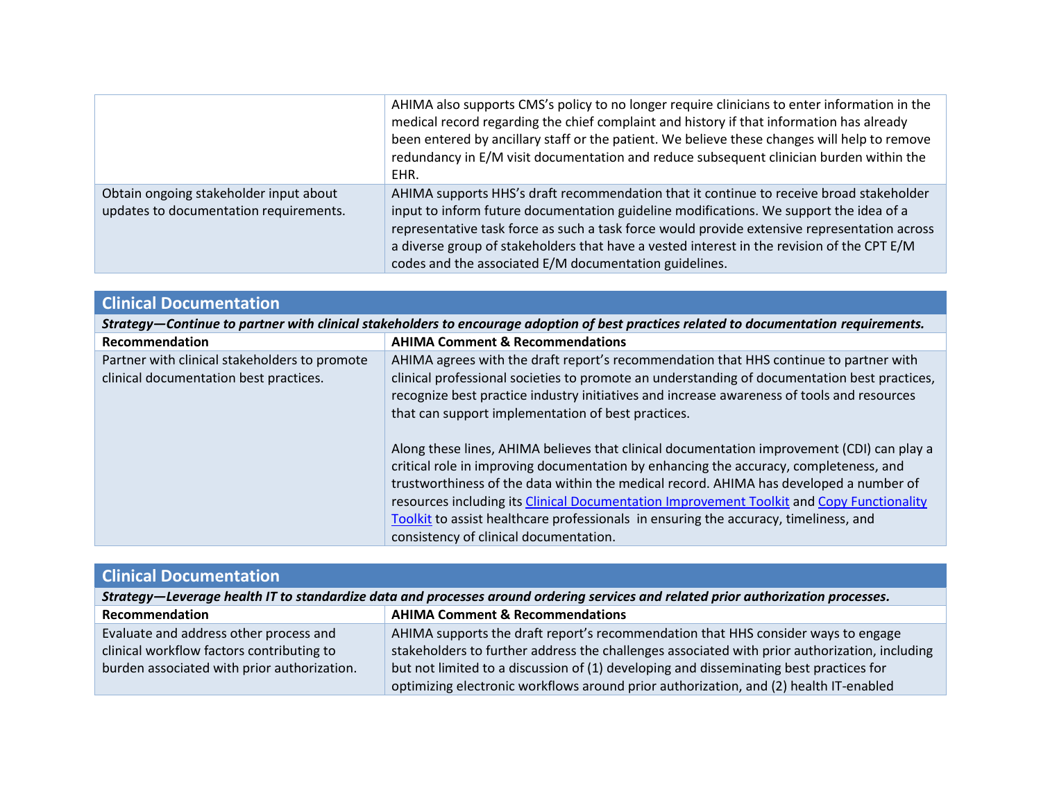|                                                                                  | AHIMA also supports CMS's policy to no longer require clinicians to enter information in the<br>medical record regarding the chief complaint and history if that information has already<br>been entered by ancillary staff or the patient. We believe these changes will help to remove<br>redundancy in E/M visit documentation and reduce subsequent clinician burden within the<br>EHR.                                               |
|----------------------------------------------------------------------------------|-------------------------------------------------------------------------------------------------------------------------------------------------------------------------------------------------------------------------------------------------------------------------------------------------------------------------------------------------------------------------------------------------------------------------------------------|
| Obtain ongoing stakeholder input about<br>updates to documentation requirements. | AHIMA supports HHS's draft recommendation that it continue to receive broad stakeholder<br>input to inform future documentation guideline modifications. We support the idea of a<br>representative task force as such a task force would provide extensive representation across<br>a diverse group of stakeholders that have a vested interest in the revision of the CPT E/M<br>codes and the associated E/M documentation guidelines. |

| <b>Clinical Documentation</b>                                                                                                          |                                                                                                                                                                                                                                                                                                                                                                                                                                                                                                              |  |
|----------------------------------------------------------------------------------------------------------------------------------------|--------------------------------------------------------------------------------------------------------------------------------------------------------------------------------------------------------------------------------------------------------------------------------------------------------------------------------------------------------------------------------------------------------------------------------------------------------------------------------------------------------------|--|
| Strategy-Continue to partner with clinical stakeholders to encourage adoption of best practices related to documentation requirements. |                                                                                                                                                                                                                                                                                                                                                                                                                                                                                                              |  |
| Recommendation                                                                                                                         | <b>AHIMA Comment &amp; Recommendations</b>                                                                                                                                                                                                                                                                                                                                                                                                                                                                   |  |
| Partner with clinical stakeholders to promote<br>clinical documentation best practices.                                                | AHIMA agrees with the draft report's recommendation that HHS continue to partner with<br>clinical professional societies to promote an understanding of documentation best practices,<br>recognize best practice industry initiatives and increase awareness of tools and resources<br>that can support implementation of best practices.                                                                                                                                                                    |  |
|                                                                                                                                        | Along these lines, AHIMA believes that clinical documentation improvement (CDI) can play a<br>critical role in improving documentation by enhancing the accuracy, completeness, and<br>trustworthiness of the data within the medical record. AHIMA has developed a number of<br>resources including its Clinical Documentation Improvement Toolkit and Copy Functionality<br>Toolkit to assist healthcare professionals in ensuring the accuracy, timeliness, and<br>consistency of clinical documentation. |  |

| <b>Clinical Documentation</b>                                                                                                     |                                                                                               |  |
|-----------------------------------------------------------------------------------------------------------------------------------|-----------------------------------------------------------------------------------------------|--|
| Strategy—Leverage health IT to standardize data and processes around ordering services and related prior authorization processes. |                                                                                               |  |
| Recommendation                                                                                                                    | <b>AHIMA Comment &amp; Recommendations</b>                                                    |  |
| Evaluate and address other process and                                                                                            | AHIMA supports the draft report's recommendation that HHS consider ways to engage             |  |
| clinical workflow factors contributing to                                                                                         | stakeholders to further address the challenges associated with prior authorization, including |  |
| burden associated with prior authorization.                                                                                       | but not limited to a discussion of (1) developing and disseminating best practices for        |  |
|                                                                                                                                   | optimizing electronic workflows around prior authorization, and (2) health IT-enabled         |  |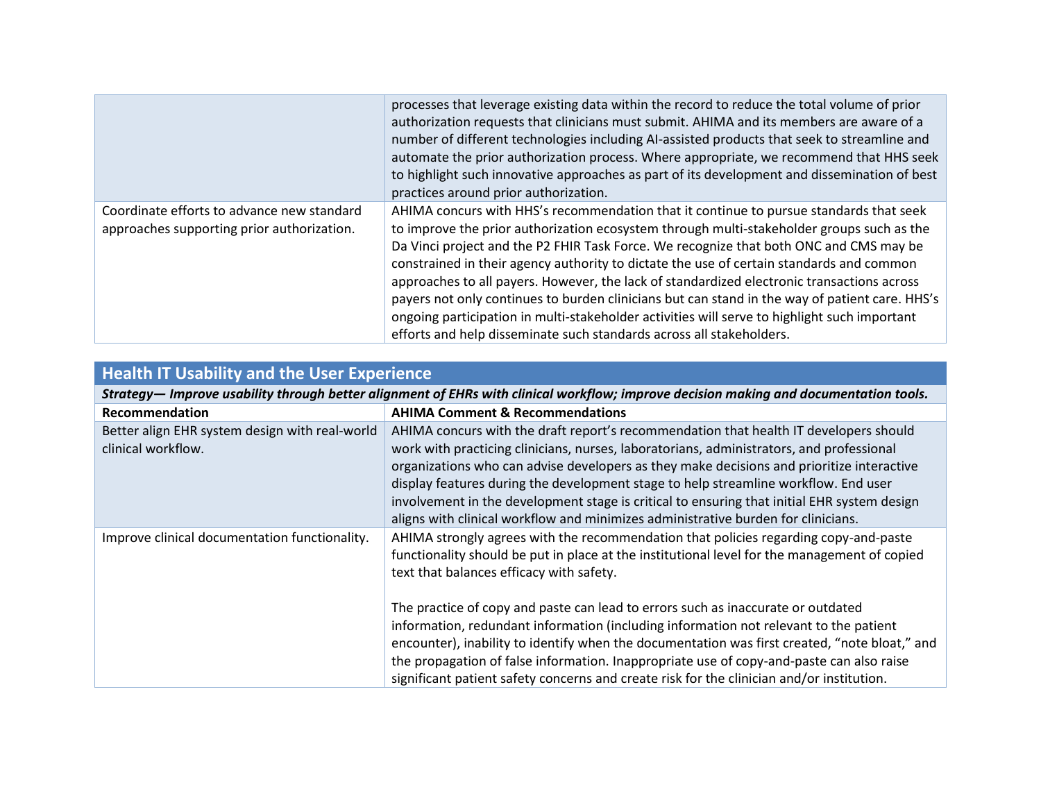|                                                                                          | processes that leverage existing data within the record to reduce the total volume of prior<br>authorization requests that clinicians must submit. AHIMA and its members are aware of a<br>number of different technologies including AI-assisted products that seek to streamline and<br>automate the prior authorization process. Where appropriate, we recommend that HHS seek<br>to highlight such innovative approaches as part of its development and dissemination of best<br>practices around prior authorization.                                                                                                                                                                                                                        |
|------------------------------------------------------------------------------------------|---------------------------------------------------------------------------------------------------------------------------------------------------------------------------------------------------------------------------------------------------------------------------------------------------------------------------------------------------------------------------------------------------------------------------------------------------------------------------------------------------------------------------------------------------------------------------------------------------------------------------------------------------------------------------------------------------------------------------------------------------|
| Coordinate efforts to advance new standard<br>approaches supporting prior authorization. | AHIMA concurs with HHS's recommendation that it continue to pursue standards that seek<br>to improve the prior authorization ecosystem through multi-stakeholder groups such as the<br>Da Vinci project and the P2 FHIR Task Force. We recognize that both ONC and CMS may be<br>constrained in their agency authority to dictate the use of certain standards and common<br>approaches to all payers. However, the lack of standardized electronic transactions across<br>payers not only continues to burden clinicians but can stand in the way of patient care. HHS's<br>ongoing participation in multi-stakeholder activities will serve to highlight such important<br>efforts and help disseminate such standards across all stakeholders. |

# **Health IT Usability and the User Experience**

*Strategy— Improve usability through better alignment of EHRs with clinical workflow; improve decision making and documentation tools.*

| Recommendation                                                       | <b>AHIMA Comment &amp; Recommendations</b>                                                                                                                                                                                                                                                                                                                                                                                                                                                                                                                |
|----------------------------------------------------------------------|-----------------------------------------------------------------------------------------------------------------------------------------------------------------------------------------------------------------------------------------------------------------------------------------------------------------------------------------------------------------------------------------------------------------------------------------------------------------------------------------------------------------------------------------------------------|
| Better align EHR system design with real-world<br>clinical workflow. | AHIMA concurs with the draft report's recommendation that health IT developers should<br>work with practicing clinicians, nurses, laboratorians, administrators, and professional<br>organizations who can advise developers as they make decisions and prioritize interactive<br>display features during the development stage to help streamline workflow. End user<br>involvement in the development stage is critical to ensuring that initial EHR system design<br>aligns with clinical workflow and minimizes administrative burden for clinicians. |
| Improve clinical documentation functionality.                        | AHIMA strongly agrees with the recommendation that policies regarding copy-and-paste<br>functionality should be put in place at the institutional level for the management of copied<br>text that balances efficacy with safety.                                                                                                                                                                                                                                                                                                                          |
|                                                                      | The practice of copy and paste can lead to errors such as inaccurate or outdated<br>information, redundant information (including information not relevant to the patient<br>encounter), inability to identify when the documentation was first created, "note bloat," and<br>the propagation of false information. Inappropriate use of copy-and-paste can also raise<br>significant patient safety concerns and create risk for the clinician and/or institution.                                                                                       |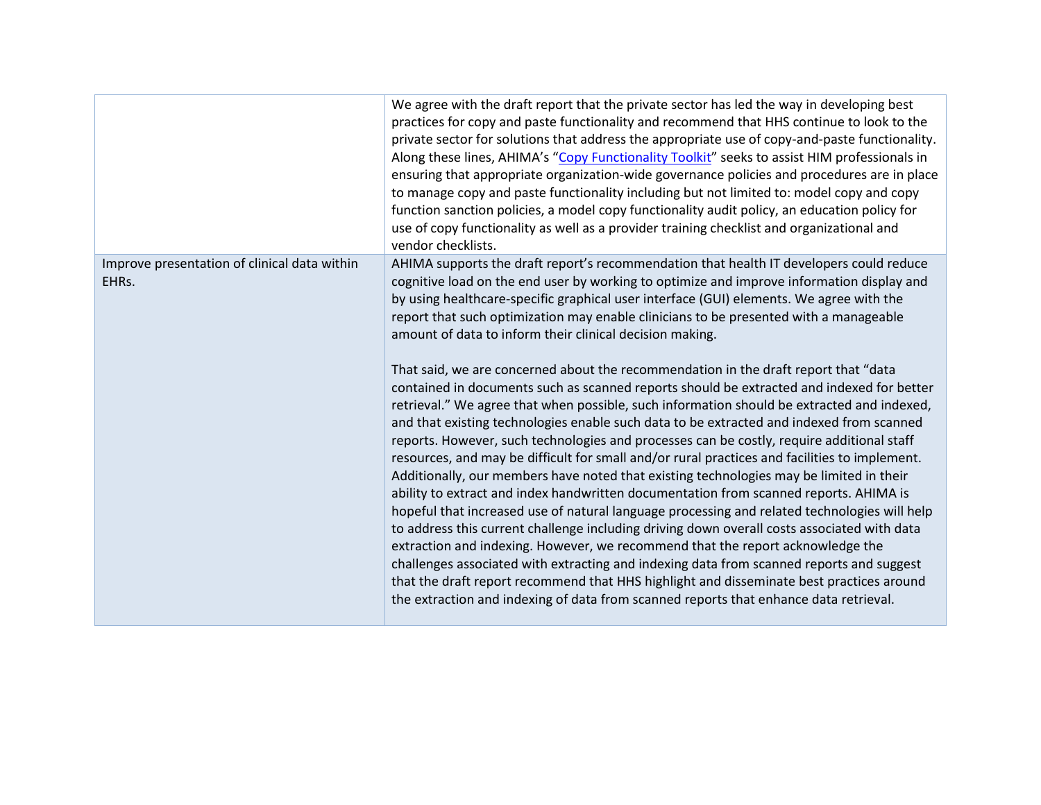|                                                       | We agree with the draft report that the private sector has led the way in developing best<br>practices for copy and paste functionality and recommend that HHS continue to look to the<br>private sector for solutions that address the appropriate use of copy-and-paste functionality.<br>Along these lines, AHIMA's "Copy Functionality Toolkit" seeks to assist HIM professionals in<br>ensuring that appropriate organization-wide governance policies and procedures are in place<br>to manage copy and paste functionality including but not limited to: model copy and copy<br>function sanction policies, a model copy functionality audit policy, an education policy for<br>use of copy functionality as well as a provider training checklist and organizational and<br>vendor checklists.                                                                                                                                                                                                                                                                                                                                                                                                                                                                                                                                                                                                                                                                                                                                                                                                                                                                                                                                                                 |
|-------------------------------------------------------|------------------------------------------------------------------------------------------------------------------------------------------------------------------------------------------------------------------------------------------------------------------------------------------------------------------------------------------------------------------------------------------------------------------------------------------------------------------------------------------------------------------------------------------------------------------------------------------------------------------------------------------------------------------------------------------------------------------------------------------------------------------------------------------------------------------------------------------------------------------------------------------------------------------------------------------------------------------------------------------------------------------------------------------------------------------------------------------------------------------------------------------------------------------------------------------------------------------------------------------------------------------------------------------------------------------------------------------------------------------------------------------------------------------------------------------------------------------------------------------------------------------------------------------------------------------------------------------------------------------------------------------------------------------------------------------------------------------------------------------------------------------------|
| Improve presentation of clinical data within<br>EHRs. | AHIMA supports the draft report's recommendation that health IT developers could reduce<br>cognitive load on the end user by working to optimize and improve information display and<br>by using healthcare-specific graphical user interface (GUI) elements. We agree with the<br>report that such optimization may enable clinicians to be presented with a manageable<br>amount of data to inform their clinical decision making.<br>That said, we are concerned about the recommendation in the draft report that "data<br>contained in documents such as scanned reports should be extracted and indexed for better<br>retrieval." We agree that when possible, such information should be extracted and indexed,<br>and that existing technologies enable such data to be extracted and indexed from scanned<br>reports. However, such technologies and processes can be costly, require additional staff<br>resources, and may be difficult for small and/or rural practices and facilities to implement.<br>Additionally, our members have noted that existing technologies may be limited in their<br>ability to extract and index handwritten documentation from scanned reports. AHIMA is<br>hopeful that increased use of natural language processing and related technologies will help<br>to address this current challenge including driving down overall costs associated with data<br>extraction and indexing. However, we recommend that the report acknowledge the<br>challenges associated with extracting and indexing data from scanned reports and suggest<br>that the draft report recommend that HHS highlight and disseminate best practices around<br>the extraction and indexing of data from scanned reports that enhance data retrieval. |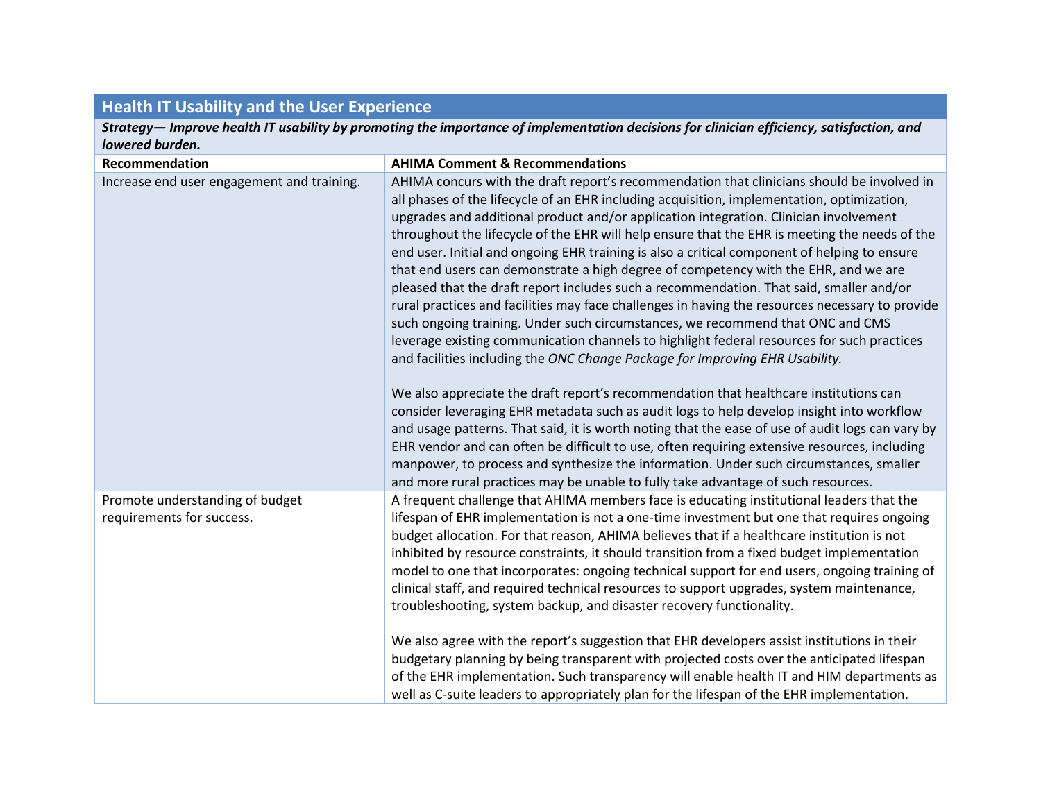### **Health IT Usability and the User Experience**

*Strategy— Improve health IT usability by promoting the importance of implementation decisions for clinician efficiency, satisfaction, and lowered burden.*

| Recommendation                                               | <b>AHIMA Comment &amp; Recommendations</b>                                                                                                                                                                                                                                                                                                                                                                                                                                                                                                                                                                                                                                                                                                                                                                                                                                                                                                                                                                                                                                                                                                                                                                                                                                                                                                                                                                                                                                                                                                                                                                       |
|--------------------------------------------------------------|------------------------------------------------------------------------------------------------------------------------------------------------------------------------------------------------------------------------------------------------------------------------------------------------------------------------------------------------------------------------------------------------------------------------------------------------------------------------------------------------------------------------------------------------------------------------------------------------------------------------------------------------------------------------------------------------------------------------------------------------------------------------------------------------------------------------------------------------------------------------------------------------------------------------------------------------------------------------------------------------------------------------------------------------------------------------------------------------------------------------------------------------------------------------------------------------------------------------------------------------------------------------------------------------------------------------------------------------------------------------------------------------------------------------------------------------------------------------------------------------------------------------------------------------------------------------------------------------------------------|
| Increase end user engagement and training.                   | AHIMA concurs with the draft report's recommendation that clinicians should be involved in<br>all phases of the lifecycle of an EHR including acquisition, implementation, optimization,<br>upgrades and additional product and/or application integration. Clinician involvement<br>throughout the lifecycle of the EHR will help ensure that the EHR is meeting the needs of the<br>end user. Initial and ongoing EHR training is also a critical component of helping to ensure<br>that end users can demonstrate a high degree of competency with the EHR, and we are<br>pleased that the draft report includes such a recommendation. That said, smaller and/or<br>rural practices and facilities may face challenges in having the resources necessary to provide<br>such ongoing training. Under such circumstances, we recommend that ONC and CMS<br>leverage existing communication channels to highlight federal resources for such practices<br>and facilities including the ONC Change Package for Improving EHR Usability.<br>We also appreciate the draft report's recommendation that healthcare institutions can<br>consider leveraging EHR metadata such as audit logs to help develop insight into workflow<br>and usage patterns. That said, it is worth noting that the ease of use of audit logs can vary by<br>EHR vendor and can often be difficult to use, often requiring extensive resources, including<br>manpower, to process and synthesize the information. Under such circumstances, smaller<br>and more rural practices may be unable to fully take advantage of such resources. |
| Promote understanding of budget<br>requirements for success. | A frequent challenge that AHIMA members face is educating institutional leaders that the<br>lifespan of EHR implementation is not a one-time investment but one that requires ongoing<br>budget allocation. For that reason, AHIMA believes that if a healthcare institution is not<br>inhibited by resource constraints, it should transition from a fixed budget implementation<br>model to one that incorporates: ongoing technical support for end users, ongoing training of<br>clinical staff, and required technical resources to support upgrades, system maintenance,<br>troubleshooting, system backup, and disaster recovery functionality.<br>We also agree with the report's suggestion that EHR developers assist institutions in their<br>budgetary planning by being transparent with projected costs over the anticipated lifespan<br>of the EHR implementation. Such transparency will enable health IT and HIM departments as<br>well as C-suite leaders to appropriately plan for the lifespan of the EHR implementation.                                                                                                                                                                                                                                                                                                                                                                                                                                                                                                                                                                    |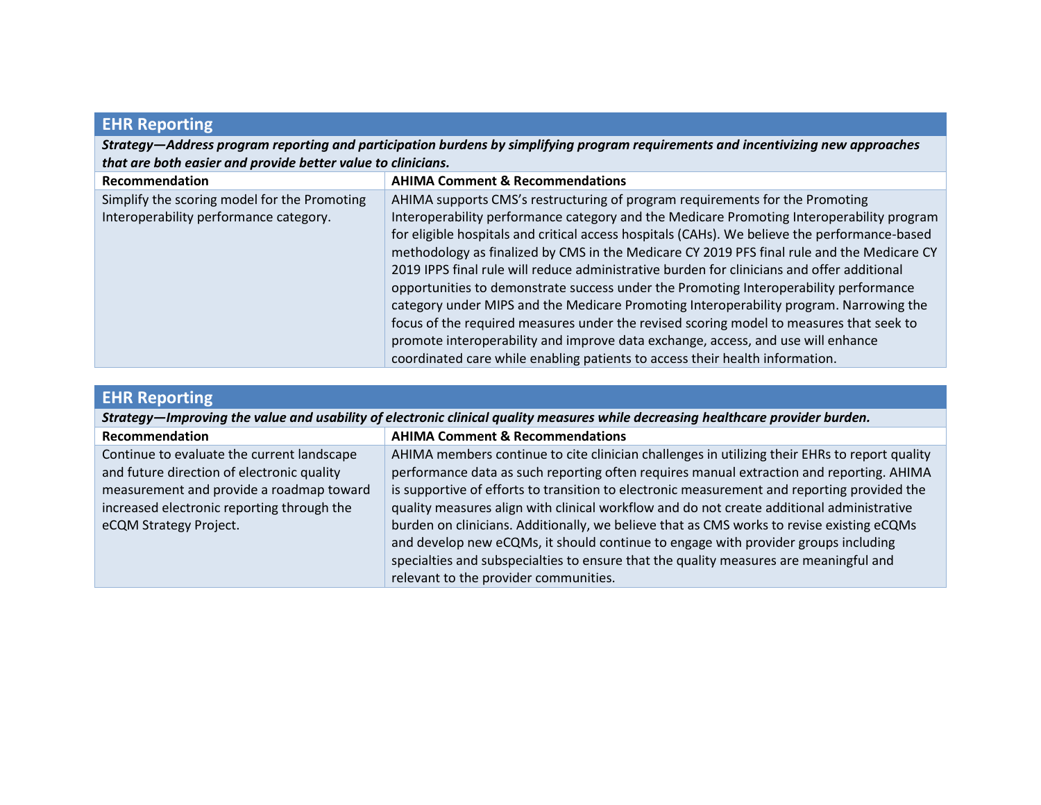# **EHR Reporting**

*Strategy—Address program reporting and participation burdens by simplifying program requirements and incentivizing new approaches that are both easier and provide better value to clinicians.*

| Recommendation                                                                         | <b>AHIMA Comment &amp; Recommendations</b>                                                                                                                                                                                                                                                                                                                                                                                                                                                                                                                                                                                                                                                                                                                                                                                               |
|----------------------------------------------------------------------------------------|------------------------------------------------------------------------------------------------------------------------------------------------------------------------------------------------------------------------------------------------------------------------------------------------------------------------------------------------------------------------------------------------------------------------------------------------------------------------------------------------------------------------------------------------------------------------------------------------------------------------------------------------------------------------------------------------------------------------------------------------------------------------------------------------------------------------------------------|
| Simplify the scoring model for the Promoting<br>Interoperability performance category. | AHIMA supports CMS's restructuring of program requirements for the Promoting<br>Interoperability performance category and the Medicare Promoting Interoperability program<br>for eligible hospitals and critical access hospitals (CAHs). We believe the performance-based<br>methodology as finalized by CMS in the Medicare CY 2019 PFS final rule and the Medicare CY<br>2019 IPPS final rule will reduce administrative burden for clinicians and offer additional<br>opportunities to demonstrate success under the Promoting Interoperability performance<br>category under MIPS and the Medicare Promoting Interoperability program. Narrowing the<br>focus of the required measures under the revised scoring model to measures that seek to<br>promote interoperability and improve data exchange, access, and use will enhance |
|                                                                                        | coordinated care while enabling patients to access their health information.                                                                                                                                                                                                                                                                                                                                                                                                                                                                                                                                                                                                                                                                                                                                                             |

|  | <b>EHR Reporting</b> |
|--|----------------------|
|  |                      |
|  |                      |

| Strategy—Improving the value and usability of electronic clinical quality measures while decreasing healthcare provider burden.                                                                              |                                                                                                                                                                                                                                                                                                                                                                                                                                                                                                                                                                                                                                                                                                            |  |
|--------------------------------------------------------------------------------------------------------------------------------------------------------------------------------------------------------------|------------------------------------------------------------------------------------------------------------------------------------------------------------------------------------------------------------------------------------------------------------------------------------------------------------------------------------------------------------------------------------------------------------------------------------------------------------------------------------------------------------------------------------------------------------------------------------------------------------------------------------------------------------------------------------------------------------|--|
| Recommendation                                                                                                                                                                                               | <b>AHIMA Comment &amp; Recommendations</b>                                                                                                                                                                                                                                                                                                                                                                                                                                                                                                                                                                                                                                                                 |  |
| Continue to evaluate the current landscape<br>and future direction of electronic quality<br>measurement and provide a roadmap toward<br>increased electronic reporting through the<br>eCQM Strategy Project. | AHIMA members continue to cite clinician challenges in utilizing their EHRs to report quality<br>performance data as such reporting often requires manual extraction and reporting. AHIMA<br>is supportive of efforts to transition to electronic measurement and reporting provided the<br>quality measures align with clinical workflow and do not create additional administrative<br>burden on clinicians. Additionally, we believe that as CMS works to revise existing eCQMs<br>and develop new eCQMs, it should continue to engage with provider groups including<br>specialties and subspecialties to ensure that the quality measures are meaningful and<br>relevant to the provider communities. |  |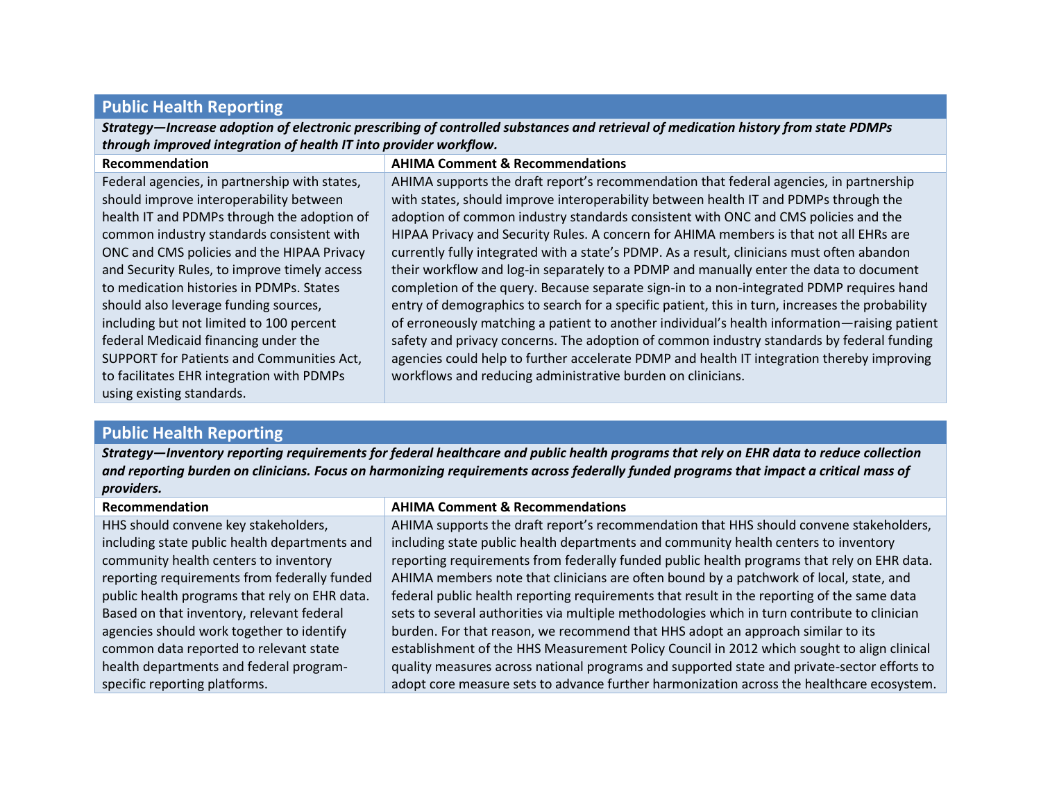#### **Public Health Reporting**

*Strategy—Increase adoption of electronic prescribing of controlled substances and retrieval of medication history from state PDMPs through improved integration of health IT into provider workflow.*

| Recommendation                                | <b>AHIMA Comment &amp; Recommendations</b>                                                      |
|-----------------------------------------------|-------------------------------------------------------------------------------------------------|
| Federal agencies, in partnership with states, | AHIMA supports the draft report's recommendation that federal agencies, in partnership          |
| should improve interoperability between       | with states, should improve interoperability between health IT and PDMPs through the            |
| health IT and PDMPs through the adoption of   | adoption of common industry standards consistent with ONC and CMS policies and the              |
| common industry standards consistent with     | HIPAA Privacy and Security Rules. A concern for AHIMA members is that not all EHRs are          |
| ONC and CMS policies and the HIPAA Privacy    | currently fully integrated with a state's PDMP. As a result, clinicians must often abandon      |
| and Security Rules, to improve timely access  | their workflow and log-in separately to a PDMP and manually enter the data to document          |
| to medication histories in PDMPs. States      | completion of the query. Because separate sign-in to a non-integrated PDMP requires hand        |
| should also leverage funding sources,         | entry of demographics to search for a specific patient, this in turn, increases the probability |
| including but not limited to 100 percent      | of erroneously matching a patient to another individual's health information—raising patient    |
| federal Medicaid financing under the          | safety and privacy concerns. The adoption of common industry standards by federal funding       |
| SUPPORT for Patients and Communities Act,     | agencies could help to further accelerate PDMP and health IT integration thereby improving      |
| to facilitates EHR integration with PDMPs     | workflows and reducing administrative burden on clinicians.                                     |
| using existing standards.                     |                                                                                                 |

#### **Public Health Reporting**

*Strategy—Inventory reporting requirements for federal healthcare and public health programs that rely on EHR data to reduce collection and reporting burden on clinicians. Focus on harmonizing requirements across federally funded programs that impact a critical mass of providers.*

| Recommendation                                | <b>AHIMA Comment &amp; Recommendations</b>                                                   |
|-----------------------------------------------|----------------------------------------------------------------------------------------------|
| HHS should convene key stakeholders,          | AHIMA supports the draft report's recommendation that HHS should convene stakeholders,       |
| including state public health departments and | including state public health departments and community health centers to inventory          |
| community health centers to inventory         | reporting requirements from federally funded public health programs that rely on EHR data.   |
| reporting requirements from federally funded  | AHIMA members note that clinicians are often bound by a patchwork of local, state, and       |
| public health programs that rely on EHR data. | federal public health reporting requirements that result in the reporting of the same data   |
| Based on that inventory, relevant federal     | sets to several authorities via multiple methodologies which in turn contribute to clinician |
| agencies should work together to identify     | burden. For that reason, we recommend that HHS adopt an approach similar to its              |
| common data reported to relevant state        | establishment of the HHS Measurement Policy Council in 2012 which sought to align clinical   |
| health departments and federal program-       | quality measures across national programs and supported state and private-sector efforts to  |
| specific reporting platforms.                 | adopt core measure sets to advance further harmonization across the healthcare ecosystem.    |